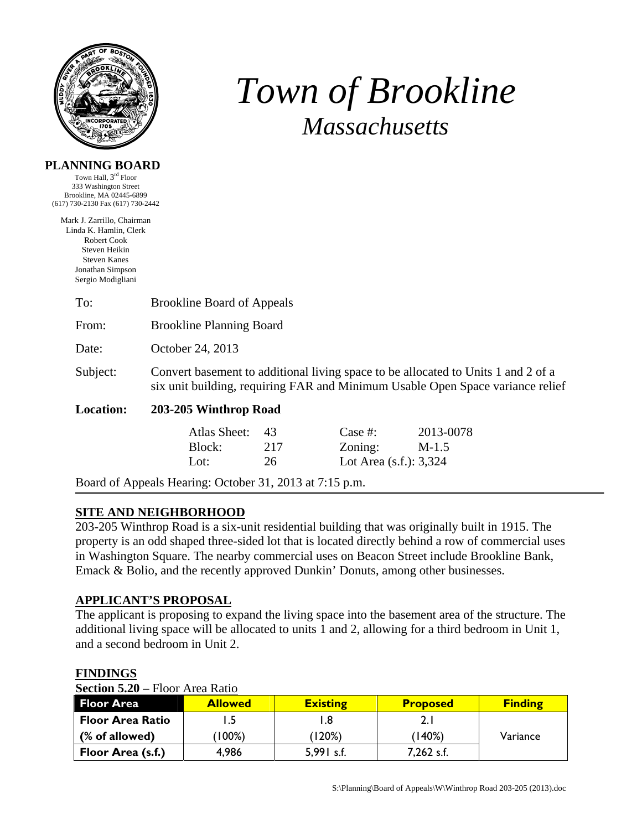

**PLANNING BOARD** 

Jonathan Simpson Sergio Modigliani

# *Town of Brookline Massachusetts*

#### Town Hall, 3rd Floor 333 Washington Street Brookline, MA 02445-6899 (617) 730-2130 Fax (617) 730-2442 Mark J. Zarrillo, Chairman Linda K. Hamlin, Clerk Robert Cook Steven Heikin Steven Kanes

| To:      | <b>Brookline Board of Appeals</b>                                                                                                                                   |
|----------|---------------------------------------------------------------------------------------------------------------------------------------------------------------------|
| From:    | <b>Brookline Planning Board</b>                                                                                                                                     |
| Date:    | October 24, 2013                                                                                                                                                    |
| Subject: | Convert basement to additional living space to be allocated to Units 1 and 2 of a<br>six unit building, requiring FAR and Minimum Usable Open Space variance relief |

### **Location: 203-205 Winthrop Road**

| Atlas Sheet: 43 |     | Case #:                   | 2013-0078 |
|-----------------|-----|---------------------------|-----------|
| Block:          | 217 | Zoning:                   | $M-1.5$   |
| Lot:            | 26  | Lot Area $(s.f.)$ : 3,324 |           |

Board of Appeals Hearing: October 31, 2013 at 7:15 p.m.

# **SITE AND NEIGHBORHOOD**

203-205 Winthrop Road is a six-unit residential building that was originally built in 1915. The property is an odd shaped three-sided lot that is located directly behind a row of commercial uses in Washington Square. The nearby commercial uses on Beacon Street include Brookline Bank, Emack & Bolio, and the recently approved Dunkin' Donuts, among other businesses.

#### **APPLICANT'S PROPOSAL**

The applicant is proposing to expand the living space into the basement area of the structure. The additional living space will be allocated to units 1 and 2, allowing for a third bedroom in Unit 1, and a second bedroom in Unit 2.

| <b>Section 5.20 – Floor Area Ratio</b> |                |                 |                 |                |  |  |
|----------------------------------------|----------------|-----------------|-----------------|----------------|--|--|
| <b>Floor Area</b>                      | <b>Allowed</b> | <b>Existing</b> | <b>Proposed</b> | <b>Finding</b> |  |  |
| <b>Floor Area Ratio</b>                |                | l.8             | 2. I            |                |  |  |
| (% of allowed)                         | (100%)         | (120%)          | (140%)          | Variance       |  |  |
| Floor Area (s.f.)                      | 4,986          | $5,991$ s.f.    | 7,262 s.f.      |                |  |  |

#### **FINDINGS**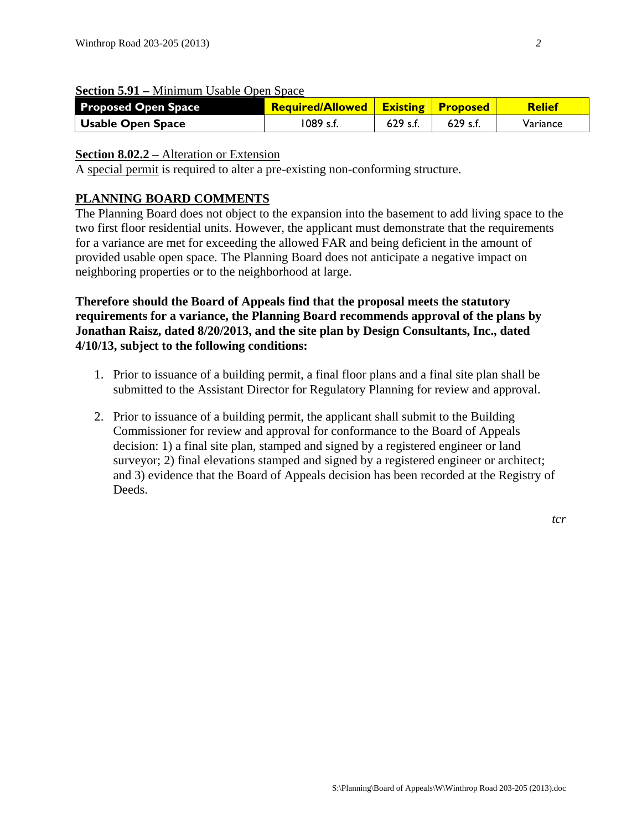| <b>Section 5.91 – Minimum Usable Open Space</b> |  |  |  |
|-------------------------------------------------|--|--|--|
|                                                 |  |  |  |

| <b>Proposed Open Space</b> | <b>Required/Allowed   Existing   Proposed</b> |            |          | <b>Relief</b> |
|----------------------------|-----------------------------------------------|------------|----------|---------------|
| Usable Open Space          | 1089 s.f.                                     | $629$ s.f. | 629 s.f. | Variance      |

#### **Section 8.02.2 – Alteration or Extension**

A special permit is required to alter a pre-existing non-conforming structure.

# **PLANNING BOARD COMMENTS**

The Planning Board does not object to the expansion into the basement to add living space to the two first floor residential units. However, the applicant must demonstrate that the requirements for a variance are met for exceeding the allowed FAR and being deficient in the amount of provided usable open space. The Planning Board does not anticipate a negative impact on neighboring properties or to the neighborhood at large.

**Therefore should the Board of Appeals find that the proposal meets the statutory requirements for a variance, the Planning Board recommends approval of the plans by Jonathan Raisz, dated 8/20/2013, and the site plan by Design Consultants, Inc., dated 4/10/13, subject to the following conditions:** 

- 1. Prior to issuance of a building permit, a final floor plans and a final site plan shall be submitted to the Assistant Director for Regulatory Planning for review and approval.
- 2. Prior to issuance of a building permit, the applicant shall submit to the Building Commissioner for review and approval for conformance to the Board of Appeals decision: 1) a final site plan, stamped and signed by a registered engineer or land surveyor; 2) final elevations stamped and signed by a registered engineer or architect; and 3) evidence that the Board of Appeals decision has been recorded at the Registry of Deeds.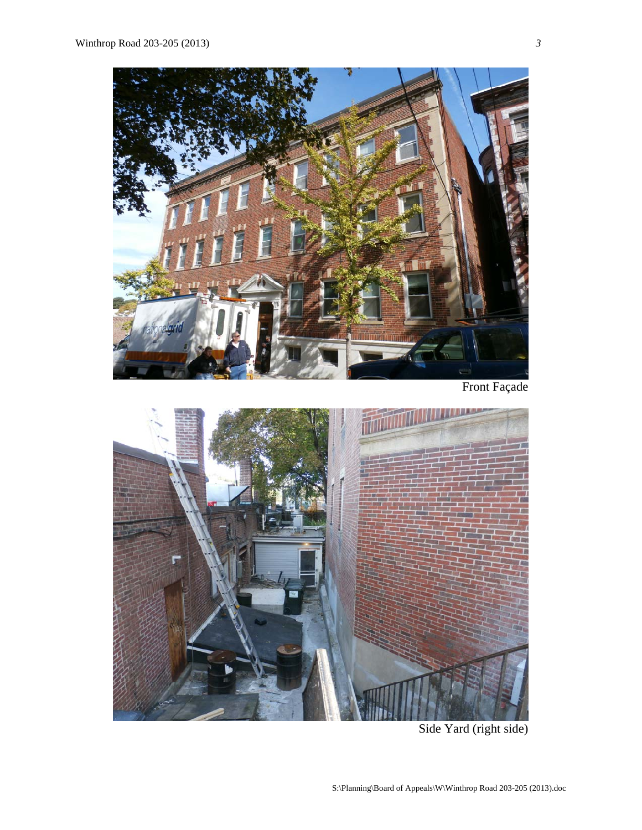

Front Façade



Side Yard (right side)